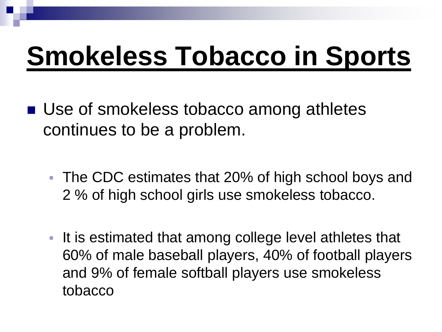# **Smokeless Tobacco in Sports**

- **Use of smokeless tobacco among athletes** continues to be a problem.
	- The CDC estimates that 20% of high school boys and 2 % of high school girls use smokeless tobacco.
	- It is estimated that among college level athletes that 60% of male baseball players, 40% of football players and 9% of female softball players use smokeless tobacco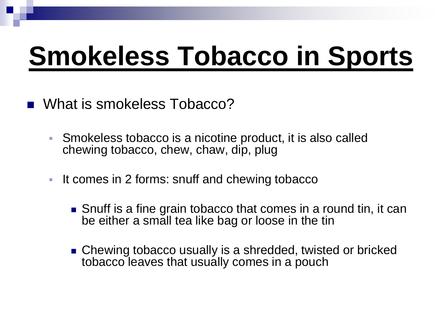# **Smokeless Tobacco in Sports**

- What is smokeless Tobacco?
	- Smokeless tobacco is a nicotine product, it is also called chewing tobacco, chew, chaw, dip, plug
	- If comes in 2 forms: snuff and chewing tobacco
		- Snuff is a fine grain tobacco that comes in a round tin, it can be either a small tea like bag or loose in the tin
		- Chewing tobacco usually is a shredded, twisted or bricked tobacco leaves that usually comes in a pouch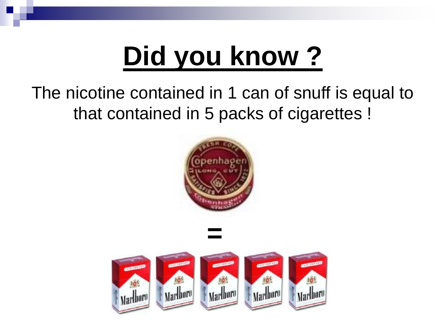# **Did you know ?**

#### The nicotine contained in 1 can of snuff is equal to that contained in 5 packs of cigarettes !



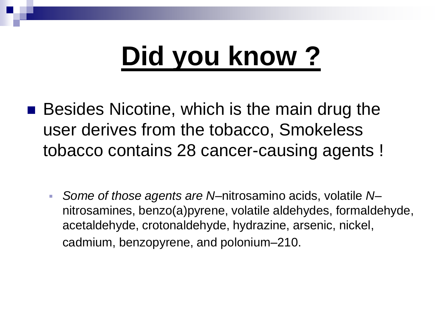# **Did you know ?**

- **Besides Nicotine, which is the main drug the** user derives from the tobacco, Smokeless tobacco contains 28 cancer-causing agents !
	- *Some of those agents are N*–nitrosamino acids, volatile *N* nitrosamines, benzo(a)pyrene, volatile aldehydes, formaldehyde, acetaldehyde, crotonaldehyde, hydrazine, arsenic, nickel, cadmium, benzopyrene, and polonium–210.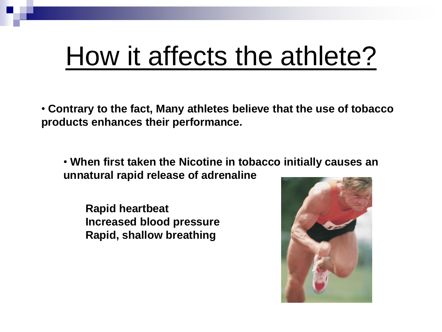### How it affects the athlete?

• **Contrary to the fact, Many athletes believe that the use of tobacco products enhances their performance.**

• **When first taken the Nicotine in tobacco initially causes an unnatural rapid release of adrenaline**

**Rapid heartbeat Increased blood pressure Rapid, shallow breathing**

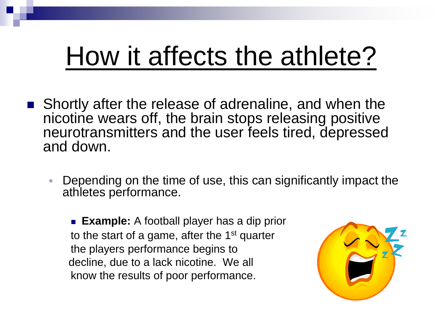## How it affects the athlete?

- **Shortly after the release of adrenaline, and when the** nicotine wears off, the brain stops releasing positive neurotransmitters and the user feels tired, depressed and down.
	- Depending on the time of use, this can significantly impact the athletes performance.

 **Example:** A football player has a dip prior to the start of a game, after the 1st quarter the players performance begins to decline, due to a lack nicotine. We all know the results of poor performance.

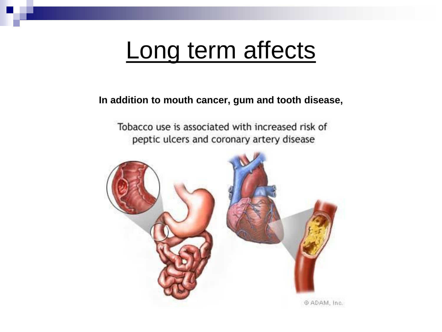#### Long term affects

#### **In addition to mouth cancer, gum and tooth disease,**

Tobacco use is associated with increased risk of peptic ulcers and coronary artery disease